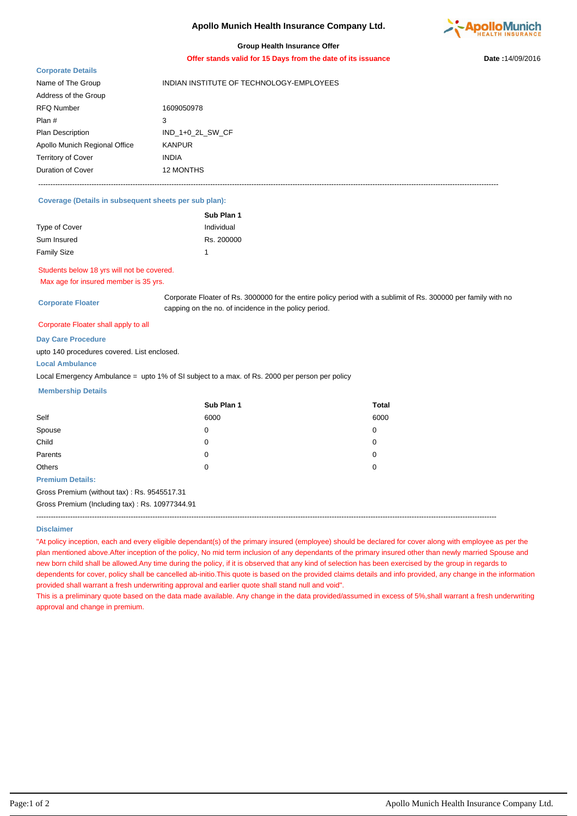# **Apollo Munich Health Insurance Company Ltd.**



### **Group Health Insurance Offer**

**Offer stands valid for 15 Days from the date of its issuance Date :**14/09/2016

## **Corporate Details**

| <b>COI porate Details</b>     |                                          |
|-------------------------------|------------------------------------------|
| Name of The Group             | INDIAN INSTITUTE OF TECHNOLOGY-EMPLOYEES |
| Address of the Group          |                                          |
| RFQ Number                    | 1609050978                               |
| Plan #                        | 3                                        |
| Plan Description              | IND 1+0 2L SW CF                         |
| Apollo Munich Regional Office | <b>KANPUR</b>                            |
| Territory of Cover            | <b>INDIA</b>                             |
| Duration of Cover             | <b>12 MONTHS</b>                         |
|                               |                                          |

----------------------------------------------------------------------------------------------------------------------------------------------------------------------------------------------

### **Coverage (Details in subsequent sheets per sub plan):**

|                    | Sub Plan 1 |
|--------------------|------------|
| Type of Cover      | Individual |
| Sum Insured        | Rs. 200000 |
| <b>Family Size</b> |            |

# Students below 18 yrs will not be covered.

Max age for insured member is 35 yrs.

**Corporate Floater**

Corporate Floater of Rs. 3000000 for the entire policy period with a sublimit of Rs. 300000 per family with no capping on the no. of incidence in the policy period.

#### Corporate Floater shall apply to all

**Day Care Procedure**

upto 140 procedures covered. List enclosed.

## **Local Ambulance**

Local Emergency Ambulance = upto 1% of SI subject to a max. of Rs. 2000 per person per policy

#### **Membership Details**

|         | Sub Plan 1 | <b>Total</b> |
|---------|------------|--------------|
| Self    | 6000       | 6000         |
| Spouse  | 0          | 0            |
| Child   | 0          | 0            |
| Parents | 0          | 0            |
| Others  | 0          | 0            |

#### **Premium Details:**

Gross Premium (without tax) : Rs. 9545517.31

Gross Premium (Including tax) : Rs. 10977344.91

----------------------------------------------------------------------------------------------------------------------------------------------------------------------------------------------

#### **Disclaimer**

"At policy inception, each and every eligible dependant(s) of the primary insured (employee) should be declared for cover along with employee as per the plan mentioned above.After inception of the policy, No mid term inclusion of any dependants of the primary insured other than newly married Spouse and new born child shall be allowed.Any time during the policy, if it is observed that any kind of selection has been exercised by the group in regards to dependents for cover, policy shall be cancelled ab-initio.This quote is based on the provided claims details and info provided, any change in the information provided shall warrant a fresh underwriting approval and earlier quote shall stand null and void".

This is a preliminary quote based on the data made available. Any change in the data provided/assumed in excess of 5%,shall warrant a fresh underwriting approval and change in premium.